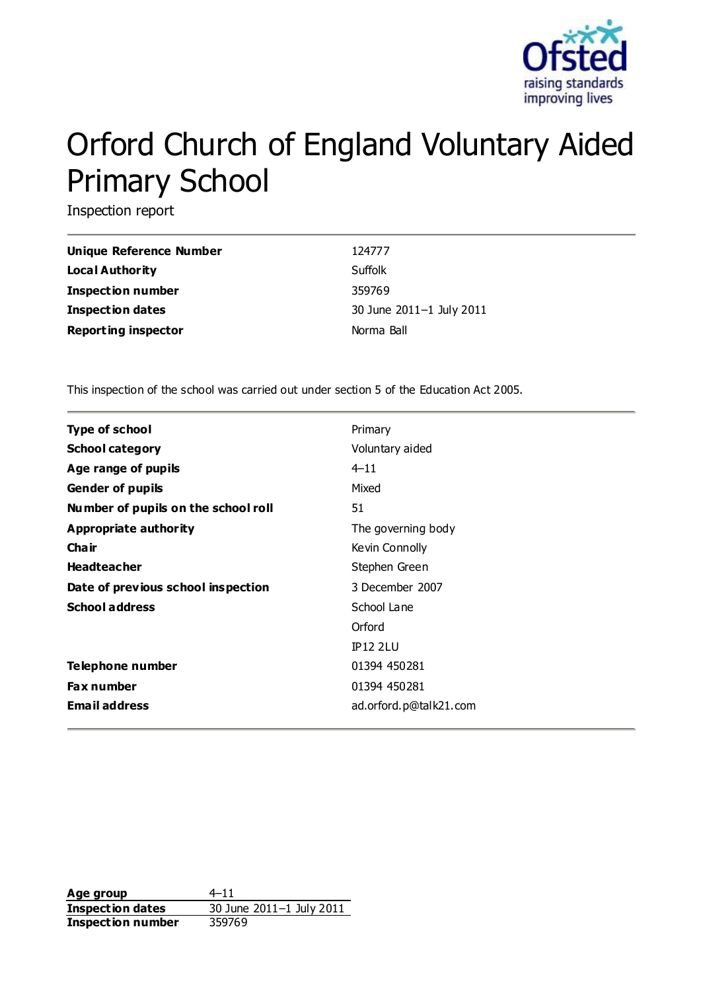

# Orford Church of England Voluntary Aided Primary School

Inspection report

| <b>Unique Reference Number</b> | 124777                   |
|--------------------------------|--------------------------|
| Local Authority                | Suffolk                  |
| <b>Inspection number</b>       | 359769                   |
| <b>Inspection dates</b>        | 30 June 2011-1 July 2011 |
| <b>Reporting inspector</b>     | Norma Ball               |

This inspection of the school was carried out under section 5 of the Education Act 2005.

| <b>Type of school</b>               | Primary                |
|-------------------------------------|------------------------|
| <b>School category</b>              | Voluntary aided        |
| Age range of pupils                 | $4 - 11$               |
| <b>Gender of pupils</b>             | Mixed                  |
| Number of pupils on the school roll | 51                     |
| Appropriate authority               | The governing body     |
| Cha ir                              | Kevin Connolly         |
| <b>Headteacher</b>                  | Stephen Green          |
| Date of previous school inspection  | 3 December 2007        |
| <b>School address</b>               | School Lane            |
|                                     | Orford                 |
|                                     | <b>IP12 2LU</b>        |
| Telephone number                    | 01394 450281           |
| <b>Fax number</b>                   | 01394 450281           |
| <b>Email address</b>                | ad.orford.p@talk21.com |
|                                     |                        |

Age group  $4-11$ **Inspection dates** 30 June 2011–1 July 2011 **Inspection number** 359769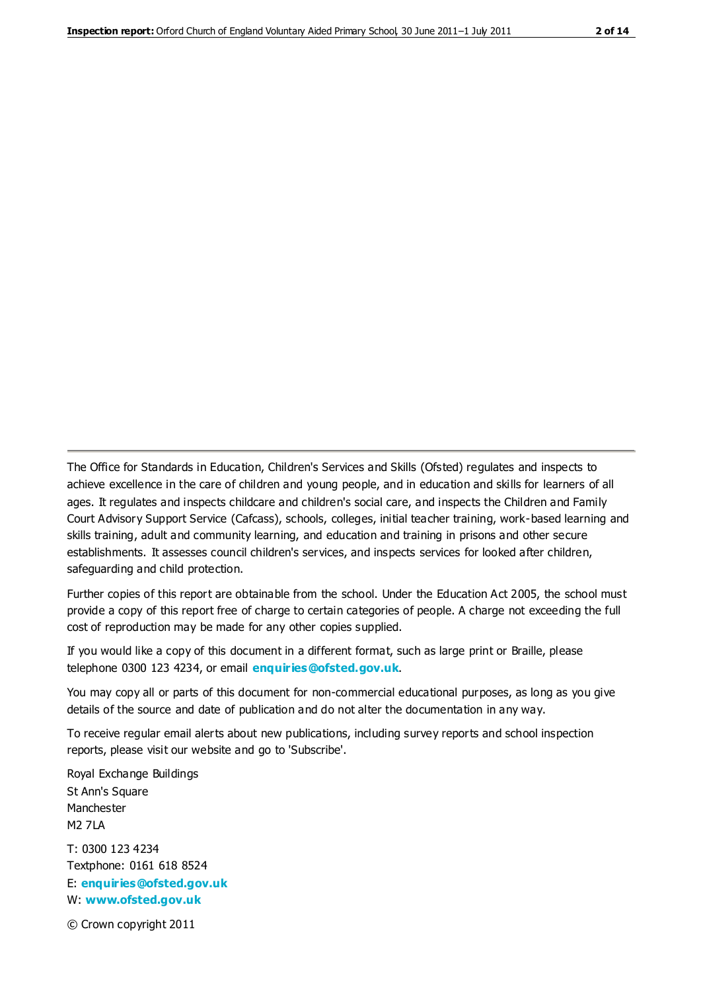The Office for Standards in Education, Children's Services and Skills (Ofsted) regulates and inspects to achieve excellence in the care of children and young people, and in education and skills for learners of all ages. It regulates and inspects childcare and children's social care, and inspects the Children and Family Court Advisory Support Service (Cafcass), schools, colleges, initial teacher training, work-based learning and skills training, adult and community learning, and education and training in prisons and other secure establishments. It assesses council children's services, and inspects services for looked after children, safeguarding and child protection.

Further copies of this report are obtainable from the school. Under the Education Act 2005, the school must provide a copy of this report free of charge to certain categories of people. A charge not exceeding the full cost of reproduction may be made for any other copies supplied.

If you would like a copy of this document in a different format, such as large print or Braille, please telephone 0300 123 4234, or email **[enquiries@ofsted.gov.uk](mailto:enquiries@ofsted.gov.uk)**.

You may copy all or parts of this document for non-commercial educational purposes, as long as you give details of the source and date of publication and do not alter the documentation in any way.

To receive regular email alerts about new publications, including survey reports and school inspection reports, please visit our website and go to 'Subscribe'.

Royal Exchange Buildings St Ann's Square Manchester M2 7LA T: 0300 123 4234 Textphone: 0161 618 8524 E: **[enquiries@ofsted.gov.uk](mailto:enquiries@ofsted.gov.uk)**

W: **[www.ofsted.gov.uk](http://www.ofsted.gov.uk/)**

© Crown copyright 2011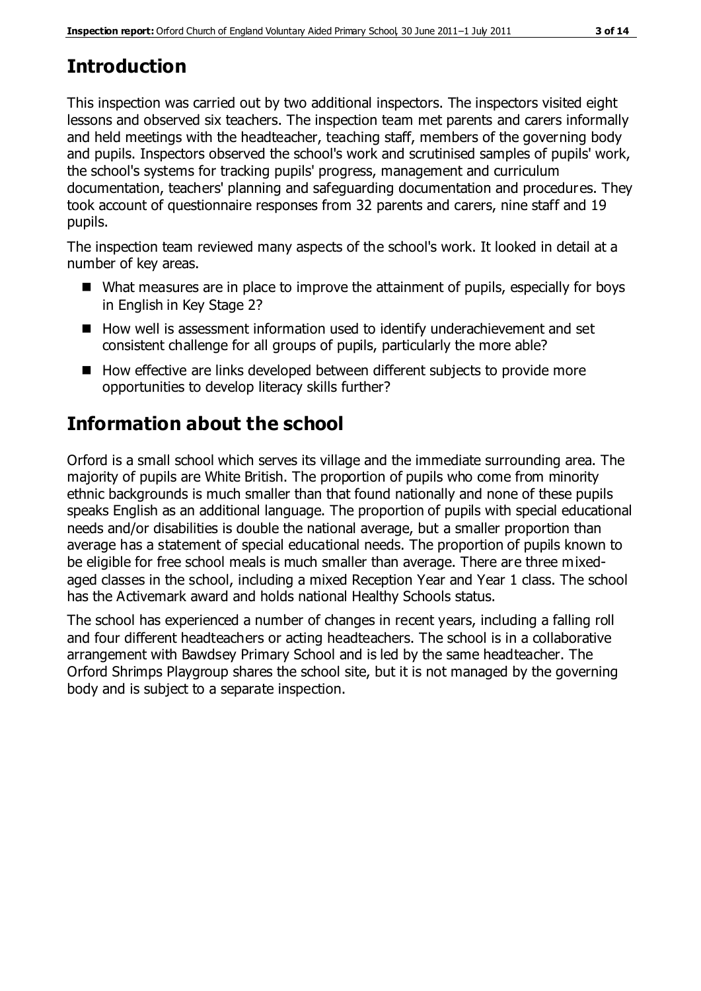# **Introduction**

This inspection was carried out by two additional inspectors. The inspectors visited eight lessons and observed six teachers. The inspection team met parents and carers informally and held meetings with the headteacher, teaching staff, members of the governing body and pupils. Inspectors observed the school's work and scrutinised samples of pupils' work, the school's systems for tracking pupils' progress, management and curriculum documentation, teachers' planning and safeguarding documentation and procedures. They took account of questionnaire responses from 32 parents and carers, nine staff and 19 pupils.

The inspection team reviewed many aspects of the school's work. It looked in detail at a number of key areas.

- What measures are in place to improve the attainment of pupils, especially for boys in English in Key Stage 2?
- How well is assessment information used to identify underachievement and set consistent challenge for all groups of pupils, particularly the more able?
- How effective are links developed between different subjects to provide more opportunities to develop literacy skills further?

# **Information about the school**

Orford is a small school which serves its village and the immediate surrounding area. The majority of pupils are White British. The proportion of pupils who come from minority ethnic backgrounds is much smaller than that found nationally and none of these pupils speaks English as an additional language. The proportion of pupils with special educational needs and/or disabilities is double the national average, but a smaller proportion than average has a statement of special educational needs. The proportion of pupils known to be eligible for free school meals is much smaller than average. There are three mixedaged classes in the school, including a mixed Reception Year and Year 1 class. The school has the Activemark award and holds national Healthy Schools status.

The school has experienced a number of changes in recent years, including a falling roll and four different headteachers or acting headteachers. The school is in a collaborative arrangement with Bawdsey Primary School and is led by the same headteacher. The Orford Shrimps Playgroup shares the school site, but it is not managed by the governing body and is subject to a separate inspection.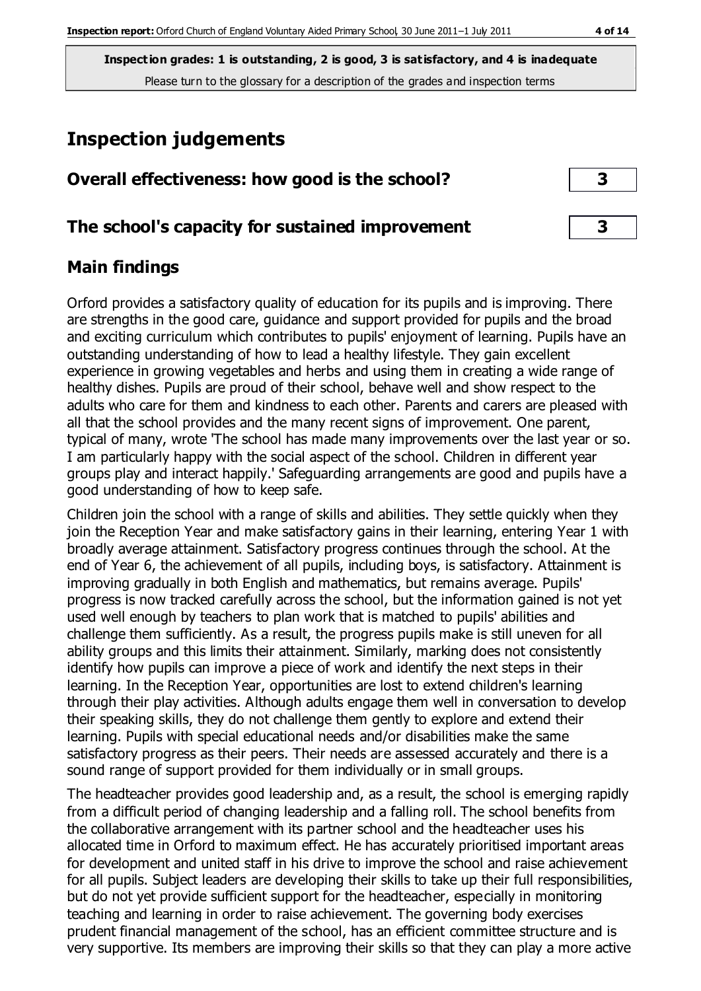# **Inspection judgements**

| Overall effectiveness: how good is the school? |  |  |  |
|------------------------------------------------|--|--|--|
|                                                |  |  |  |

#### **The school's capacity for sustained improvement 3**

## **Main findings**

Orford provides a satisfactory quality of education for its pupils and is improving. There are strengths in the good care, guidance and support provided for pupils and the broad and exciting curriculum which contributes to pupils' enjoyment of learning. Pupils have an outstanding understanding of how to lead a healthy lifestyle. They gain excellent experience in growing vegetables and herbs and using them in creating a wide range of healthy dishes. Pupils are proud of their school, behave well and show respect to the adults who care for them and kindness to each other. Parents and carers are pleased with all that the school provides and the many recent signs of improvement. One parent, typical of many, wrote 'The school has made many improvements over the last year or so. I am particularly happy with the social aspect of the school. Children in different year groups play and interact happily.' Safeguarding arrangements are good and pupils have a good understanding of how to keep safe.

Children join the school with a range of skills and abilities. They settle quickly when they join the Reception Year and make satisfactory gains in their learning, entering Year 1 with broadly average attainment. Satisfactory progress continues through the school. At the end of Year 6, the achievement of all pupils, including boys, is satisfactory. Attainment is improving gradually in both English and mathematics, but remains average. Pupils' progress is now tracked carefully across the school, but the information gained is not yet used well enough by teachers to plan work that is matched to pupils' abilities and challenge them sufficiently. As a result, the progress pupils make is still uneven for all ability groups and this limits their attainment. Similarly, marking does not consistently identify how pupils can improve a piece of work and identify the next steps in their learning. In the Reception Year, opportunities are lost to extend children's learning through their play activities. Although adults engage them well in conversation to develop their speaking skills, they do not challenge them gently to explore and extend their learning. Pupils with special educational needs and/or disabilities make the same satisfactory progress as their peers. Their needs are assessed accurately and there is a sound range of support provided for them individually or in small groups.

The headteacher provides good leadership and, as a result, the school is emerging rapidly from a difficult period of changing leadership and a falling roll. The school benefits from the collaborative arrangement with its partner school and the headteacher uses his allocated time in Orford to maximum effect. He has accurately prioritised important areas for development and united staff in his drive to improve the school and raise achievement for all pupils. Subject leaders are developing their skills to take up their full responsibilities, but do not yet provide sufficient support for the headteacher, especially in monitoring teaching and learning in order to raise achievement. The governing body exercises prudent financial management of the school, has an efficient committee structure and is very supportive. Its members are improving their skills so that they can play a more active

| Э |  |
|---|--|
|   |  |
| ∍ |  |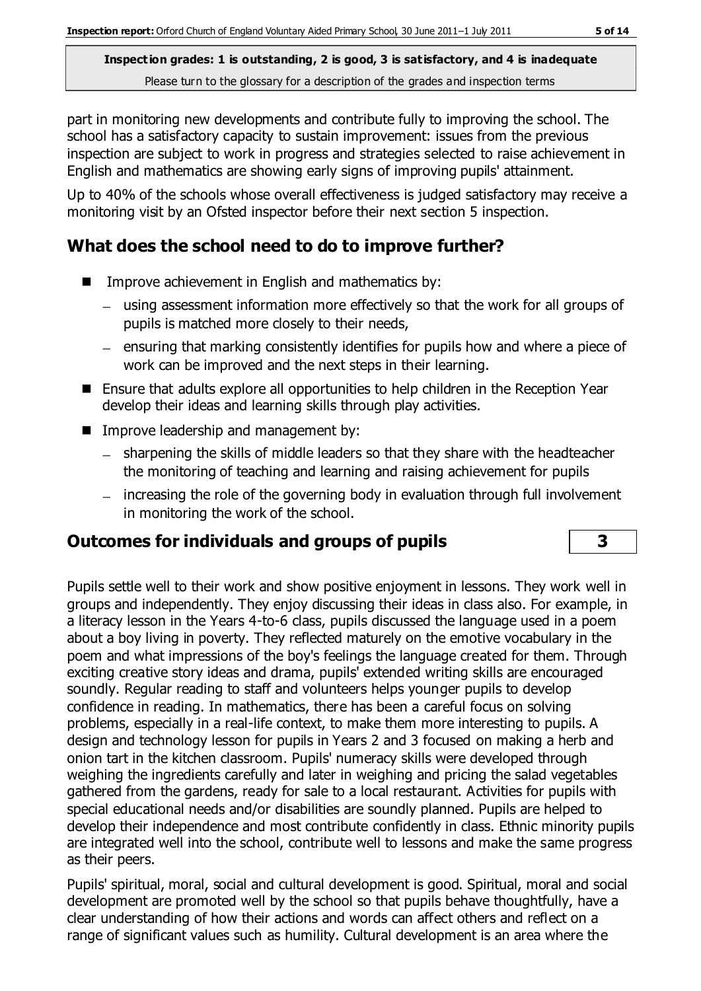part in monitoring new developments and contribute fully to improving the school. The school has a satisfactory capacity to sustain improvement: issues from the previous inspection are subject to work in progress and strategies selected to raise achievement in English and mathematics are showing early signs of improving pupils' attainment.

Up to 40% of the schools whose overall effectiveness is judged satisfactory may receive a monitoring visit by an Ofsted inspector before their next section 5 inspection.

## **What does the school need to do to improve further?**

- Improve achievement in English and mathematics by:
	- using assessment information more effectively so that the work for all groups of pupils is matched more closely to their needs,
	- ensuring that marking consistently identifies for pupils how and where a piece of work can be improved and the next steps in their learning.
- Ensure that adults explore all opportunities to help children in the Reception Year develop their ideas and learning skills through play activities.
- **IMPROVE LEADER FIGURE 18 IMPROVE LEADERS** FIGURE 10 IMPROVE
	- sharpening the skills of middle leaders so that they share with the headteacher the monitoring of teaching and learning and raising achievement for pupils
	- increasing the role of the governing body in evaluation through full involvement in monitoring the work of the school.

## **Outcomes for individuals and groups of pupils 3**

Pupils settle well to their work and show positive enjoyment in lessons. They work well in groups and independently. They enjoy discussing their ideas in class also. For example, in a literacy lesson in the Years 4-to-6 class, pupils discussed the language used in a poem about a boy living in poverty. They reflected maturely on the emotive vocabulary in the poem and what impressions of the boy's feelings the language created for them. Through exciting creative story ideas and drama, pupils' extended writing skills are encouraged soundly. Regular reading to staff and volunteers helps younger pupils to develop confidence in reading. In mathematics, there has been a careful focus on solving problems, especially in a real-life context, to make them more interesting to pupils. A design and technology lesson for pupils in Years 2 and 3 focused on making a herb and onion tart in the kitchen classroom. Pupils' numeracy skills were developed through weighing the ingredients carefully and later in weighing and pricing the salad vegetables gathered from the gardens, ready for sale to a local restaurant. Activities for pupils with special educational needs and/or disabilities are soundly planned. Pupils are helped to develop their independence and most contribute confidently in class. Ethnic minority pupils are integrated well into the school, contribute well to lessons and make the same progress as their peers.

Pupils' spiritual, moral, social and cultural development is good. Spiritual, moral and social development are promoted well by the school so that pupils behave thoughtfully, have a clear understanding of how their actions and words can affect others and reflect on a range of significant values such as humility. Cultural development is an area where the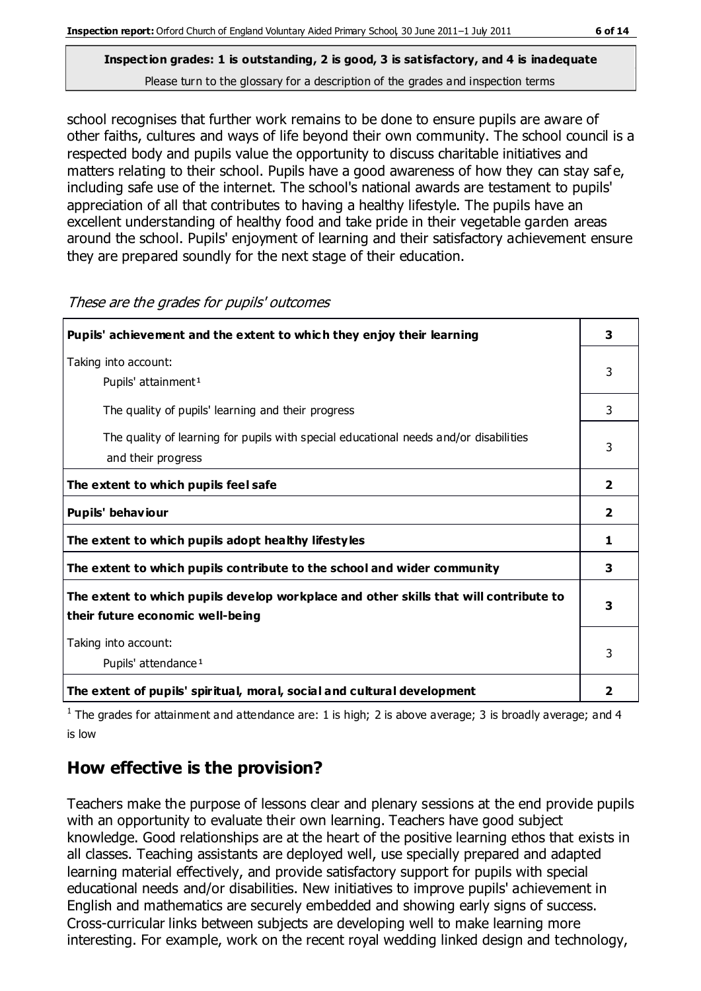school recognises that further work remains to be done to ensure pupils are aware of other faiths, cultures and ways of life beyond their own community. The school council is a respected body and pupils value the opportunity to discuss charitable initiatives and matters relating to their school. Pupils have a good awareness of how they can stay saf e, including safe use of the internet. The school's national awards are testament to pupils' appreciation of all that contributes to having a healthy lifestyle. The pupils have an excellent understanding of healthy food and take pride in their vegetable garden areas around the school. Pupils' enjoyment of learning and their satisfactory achievement ensure they are prepared soundly for the next stage of their education.

| Pupils' achievement and the extent to which they enjoy their learning                                                     | 3              |
|---------------------------------------------------------------------------------------------------------------------------|----------------|
| Taking into account:<br>Pupils' attainment <sup>1</sup>                                                                   | 3              |
| The quality of pupils' learning and their progress                                                                        | 3              |
| The quality of learning for pupils with special educational needs and/or disabilities<br>and their progress               | 3              |
| The extent to which pupils feel safe                                                                                      | $\overline{2}$ |
| Pupils' behaviour                                                                                                         | $\overline{2}$ |
| The extent to which pupils adopt healthy lifestyles                                                                       | 1              |
| The extent to which pupils contribute to the school and wider community                                                   | 3              |
| The extent to which pupils develop workplace and other skills that will contribute to<br>their future economic well-being | 3              |
| Taking into account:<br>Pupils' attendance <sup>1</sup>                                                                   | 3              |
| The extent of pupils' spiritual, moral, social and cultural development                                                   | 2              |

These are the grades for pupils' outcomes

<sup>1</sup> The grades for attainment and attendance are: 1 is high; 2 is above average; 3 is broadly average; and 4 is low

## **How effective is the provision?**

Teachers make the purpose of lessons clear and plenary sessions at the end provide pupils with an opportunity to evaluate their own learning. Teachers have good subject knowledge. Good relationships are at the heart of the positive learning ethos that exists in all classes. Teaching assistants are deployed well, use specially prepared and adapted learning material effectively, and provide satisfactory support for pupils with special educational needs and/or disabilities. New initiatives to improve pupils' achievement in English and mathematics are securely embedded and showing early signs of success. Cross-curricular links between subjects are developing well to make learning more interesting. For example, work on the recent royal wedding linked design and technology,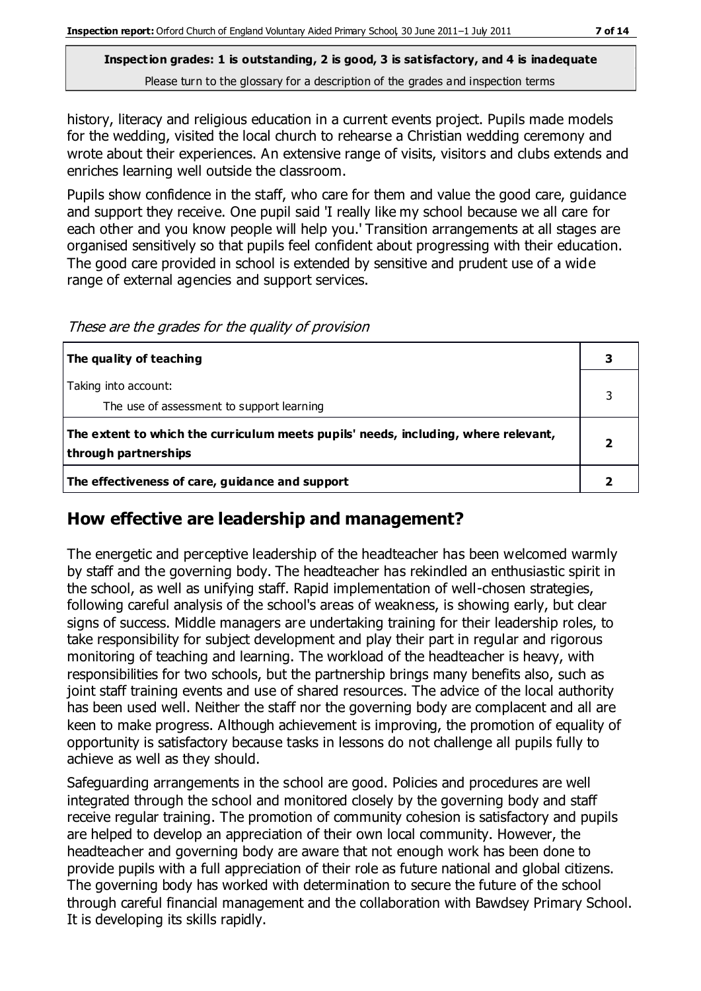history, literacy and religious education in a current events project. Pupils made models for the wedding, visited the local church to rehearse a Christian wedding ceremony and wrote about their experiences. An extensive range of visits, visitors and clubs extends and enriches learning well outside the classroom.

Pupils show confidence in the staff, who care for them and value the good care, guidance and support they receive. One pupil said 'I really like my school because we all care for each other and you know people will help you.' Transition arrangements at all stages are organised sensitively so that pupils feel confident about progressing with their education. The good care provided in school is extended by sensitive and prudent use of a wide range of external agencies and support services.

These are the grades for the quality of provision

| The quality of teaching                                                                                    |  |
|------------------------------------------------------------------------------------------------------------|--|
| Taking into account:<br>The use of assessment to support learning                                          |  |
| The extent to which the curriculum meets pupils' needs, including, where relevant,<br>through partnerships |  |
| The effectiveness of care, guidance and support                                                            |  |

#### **How effective are leadership and management?**

The energetic and perceptive leadership of the headteacher has been welcomed warmly by staff and the governing body. The headteacher has rekindled an enthusiastic spirit in the school, as well as unifying staff. Rapid implementation of well-chosen strategies, following careful analysis of the school's areas of weakness, is showing early, but clear signs of success. Middle managers are undertaking training for their leadership roles, to take responsibility for subject development and play their part in regular and rigorous monitoring of teaching and learning. The workload of the headteacher is heavy, with responsibilities for two schools, but the partnership brings many benefits also, such as joint staff training events and use of shared resources. The advice of the local authority has been used well. Neither the staff nor the governing body are complacent and all are keen to make progress. Although achievement is improving, the promotion of equality of opportunity is satisfactory because tasks in lessons do not challenge all pupils fully to achieve as well as they should.

Safeguarding arrangements in the school are good. Policies and procedures are well integrated through the school and monitored closely by the governing body and staff receive regular training. The promotion of community cohesion is satisfactory and pupils are helped to develop an appreciation of their own local community. However, the headteacher and governing body are aware that not enough work has been done to provide pupils with a full appreciation of their role as future national and global citizens. The governing body has worked with determination to secure the future of the school through careful financial management and the collaboration with Bawdsey Primary School. It is developing its skills rapidly.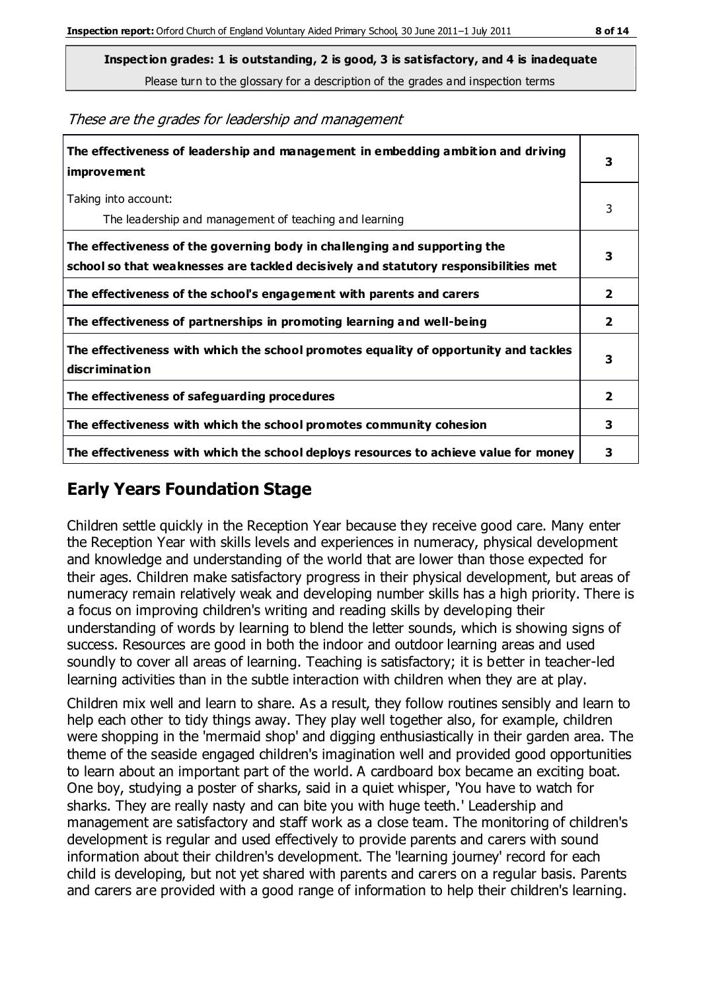These are the grades for leadership and management

| The effectiveness of leadership and management in embedding ambition and driving<br>improvement                                                                  | 3              |
|------------------------------------------------------------------------------------------------------------------------------------------------------------------|----------------|
| Taking into account:<br>The leadership and management of teaching and learning                                                                                   | 3              |
| The effectiveness of the governing body in challenging and supporting the<br>school so that weaknesses are tackled decisively and statutory responsibilities met | 3              |
| The effectiveness of the school's engagement with parents and carers                                                                                             | 2              |
| The effectiveness of partnerships in promoting learning and well-being                                                                                           | $\overline{2}$ |
| The effectiveness with which the school promotes equality of opportunity and tackles<br>discrimination                                                           | 3              |
| The effectiveness of safeguarding procedures                                                                                                                     | $\overline{2}$ |
| The effectiveness with which the school promotes community cohesion                                                                                              | 3              |
| The effectiveness with which the school deploys resources to achieve value for money                                                                             | з              |

## **Early Years Foundation Stage**

Children settle quickly in the Reception Year because they receive good care. Many enter the Reception Year with skills levels and experiences in numeracy, physical development and knowledge and understanding of the world that are lower than those expected for their ages. Children make satisfactory progress in their physical development, but areas of numeracy remain relatively weak and developing number skills has a high priority. There is a focus on improving children's writing and reading skills by developing their understanding of words by learning to blend the letter sounds, which is showing signs of success. Resources are good in both the indoor and outdoor learning areas and used soundly to cover all areas of learning. Teaching is satisfactory; it is better in teacher-led learning activities than in the subtle interaction with children when they are at play.

Children mix well and learn to share. As a result, they follow routines sensibly and learn to help each other to tidy things away. They play well together also, for example, children were shopping in the 'mermaid shop' and digging enthusiastically in their garden area. The theme of the seaside engaged children's imagination well and provided good opportunities to learn about an important part of the world. A cardboard box became an exciting boat. One boy, studying a poster of sharks, said in a quiet whisper, 'You have to watch for sharks. They are really nasty and can bite you with huge teeth.' Leadership and management are satisfactory and staff work as a close team. The monitoring of children's development is regular and used effectively to provide parents and carers with sound information about their children's development. The 'learning journey' record for each child is developing, but not yet shared with parents and carers on a regular basis. Parents and carers are provided with a good range of information to help their children's learning.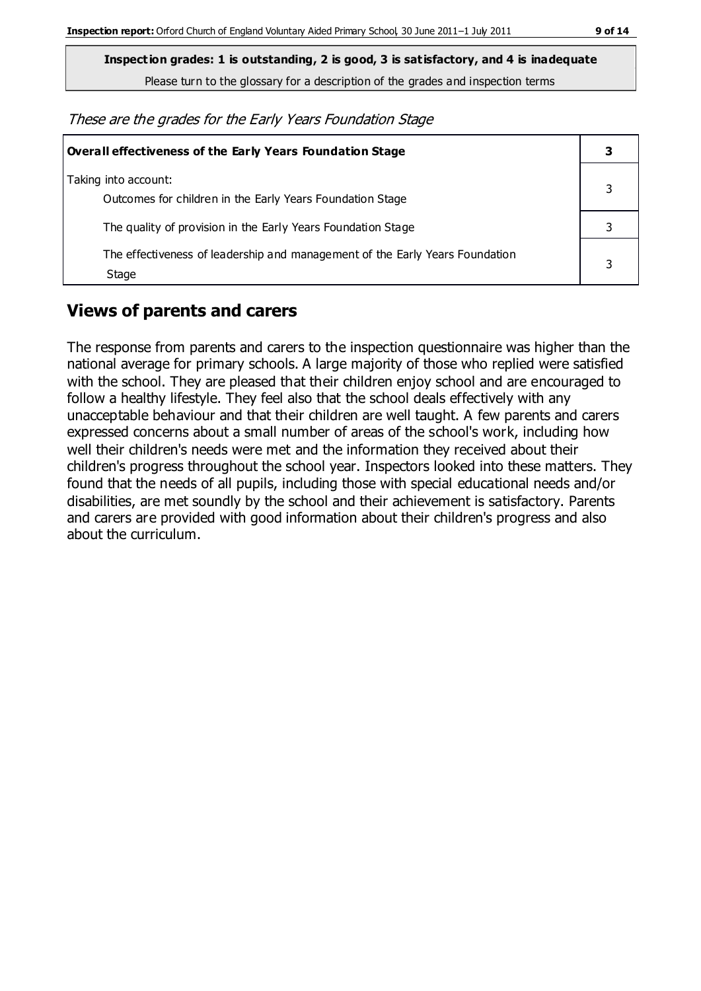**Inspection grades: 1 is outstanding, 2 is good, 3 is satisfactory, and 4 is inadequate**

Please turn to the glossary for a description of the grades and inspection terms

These are the grades for the Early Years Foundation Stage

| Overall effectiveness of the Early Years Foundation Stage                             |  |  |
|---------------------------------------------------------------------------------------|--|--|
| Taking into account:<br>Outcomes for children in the Early Years Foundation Stage     |  |  |
| The quality of provision in the Early Years Foundation Stage                          |  |  |
| The effectiveness of leadership and management of the Early Years Foundation<br>Stage |  |  |

## **Views of parents and carers**

The response from parents and carers to the inspection questionnaire was higher than the national average for primary schools. A large majority of those who replied were satisfied with the school. They are pleased that their children enjoy school and are encouraged to follow a healthy lifestyle. They feel also that the school deals effectively with any unacceptable behaviour and that their children are well taught. A few parents and carers expressed concerns about a small number of areas of the school's work, including how well their children's needs were met and the information they received about their children's progress throughout the school year. Inspectors looked into these matters. They found that the needs of all pupils, including those with special educational needs and/or disabilities, are met soundly by the school and their achievement is satisfactory. Parents and carers are provided with good information about their children's progress and also about the curriculum.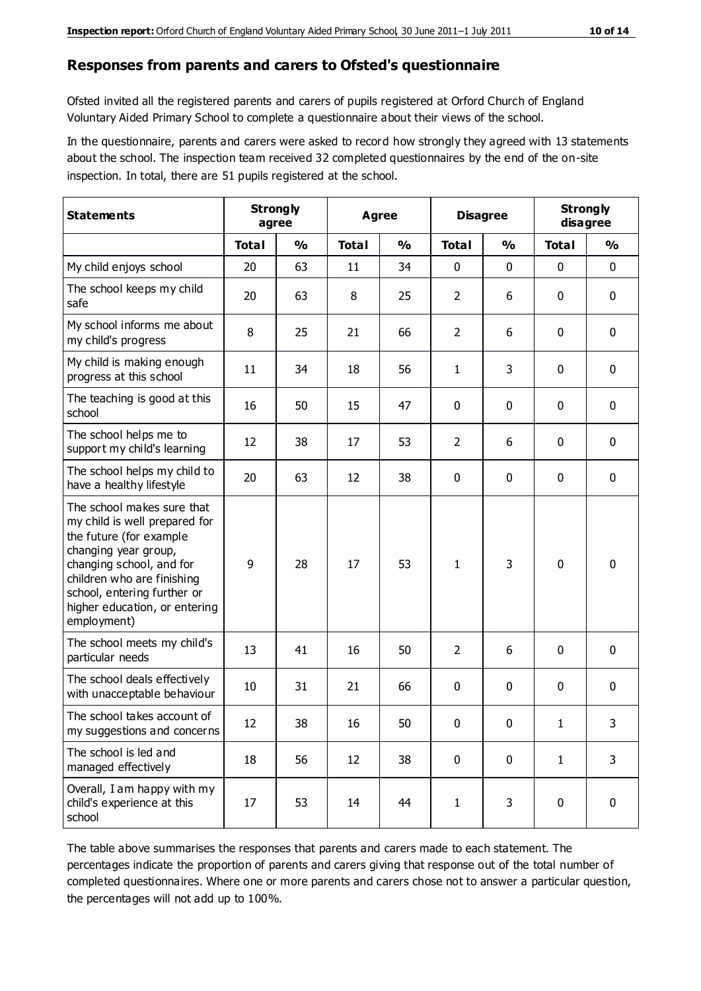#### **Responses from parents and carers to Ofsted's questionnaire**

Ofsted invited all the registered parents and carers of pupils registered at Orford Church of England Voluntary Aided Primary School to complete a questionnaire about their views of the school.

In the questionnaire, parents and carers were asked to record how strongly they agreed with 13 statements about the school. The inspection team received 32 completed questionnaires by the end of the on-site inspection. In total, there are 51 pupils registered at the school.

| <b>Statements</b>                                                                                                                                                                                                                                       | <b>Strongly</b><br>agree |               |              | Agree         |                | <b>Disagree</b> |              | <b>Strongly</b><br>disagree |
|---------------------------------------------------------------------------------------------------------------------------------------------------------------------------------------------------------------------------------------------------------|--------------------------|---------------|--------------|---------------|----------------|-----------------|--------------|-----------------------------|
|                                                                                                                                                                                                                                                         | <b>Total</b>             | $\frac{0}{0}$ | <b>Total</b> | $\frac{0}{0}$ | <b>Total</b>   | $\frac{0}{0}$   | <b>Total</b> | $\frac{0}{0}$               |
| My child enjoys school                                                                                                                                                                                                                                  | 20                       | 63            | 11           | 34            | 0              | 0               | $\mathbf 0$  | $\mathbf 0$                 |
| The school keeps my child<br>safe                                                                                                                                                                                                                       | 20                       | 63            | 8            | 25            | $\overline{2}$ | 6               | $\mathbf 0$  | $\mathbf 0$                 |
| My school informs me about<br>my child's progress                                                                                                                                                                                                       | 8                        | 25            | 21           | 66            | $\overline{2}$ | 6               | $\mathbf 0$  | $\mathbf 0$                 |
| My child is making enough<br>progress at this school                                                                                                                                                                                                    | 11                       | 34            | 18           | 56            | 1              | 3               | 0            | $\mathbf 0$                 |
| The teaching is good at this<br>school                                                                                                                                                                                                                  | 16                       | 50            | 15           | 47            | 0              | 0               | $\mathbf 0$  | $\mathbf 0$                 |
| The school helps me to<br>support my child's learning                                                                                                                                                                                                   | 12                       | 38            | 17           | 53            | $\overline{2}$ | 6               | $\mathbf 0$  | $\mathbf 0$                 |
| The school helps my child to<br>have a healthy lifestyle                                                                                                                                                                                                | 20                       | 63            | 12           | 38            | 0              | $\mathbf 0$     | $\mathbf 0$  | $\mathbf 0$                 |
| The school makes sure that<br>my child is well prepared for<br>the future (for example<br>changing year group,<br>changing school, and for<br>children who are finishing<br>school, entering further or<br>higher education, or entering<br>employment) | 9                        | 28            | 17           | 53            | 1              | 3               | $\mathbf 0$  | $\mathbf 0$                 |
| The school meets my child's<br>particular needs                                                                                                                                                                                                         | 13                       | 41            | 16           | 50            | $\overline{2}$ | 6               | $\mathbf 0$  | $\mathbf 0$                 |
| The school deals effectively<br>with unacceptable behaviour                                                                                                                                                                                             | 10                       | 31            | 21           | 66            | 0              | 0               | $\mathbf 0$  | 0                           |
| The school takes account of<br>my suggestions and concerns                                                                                                                                                                                              | 12                       | 38            | 16           | 50            | 0              | 0               | 1            | 3                           |
| The school is led and<br>managed effectively                                                                                                                                                                                                            | 18                       | 56            | 12           | 38            | $\mathbf 0$    | $\mathbf 0$     | $\mathbf{1}$ | 3                           |
| Overall, I am happy with my<br>child's experience at this<br>school                                                                                                                                                                                     | 17                       | 53            | 14           | 44            | $\mathbf 1$    | 3               | $\mathbf 0$  | $\mathbf 0$                 |

The table above summarises the responses that parents and carers made to each statement. The percentages indicate the proportion of parents and carers giving that response out of the total number of completed questionnaires. Where one or more parents and carers chose not to answer a particular question, the percentages will not add up to 100%.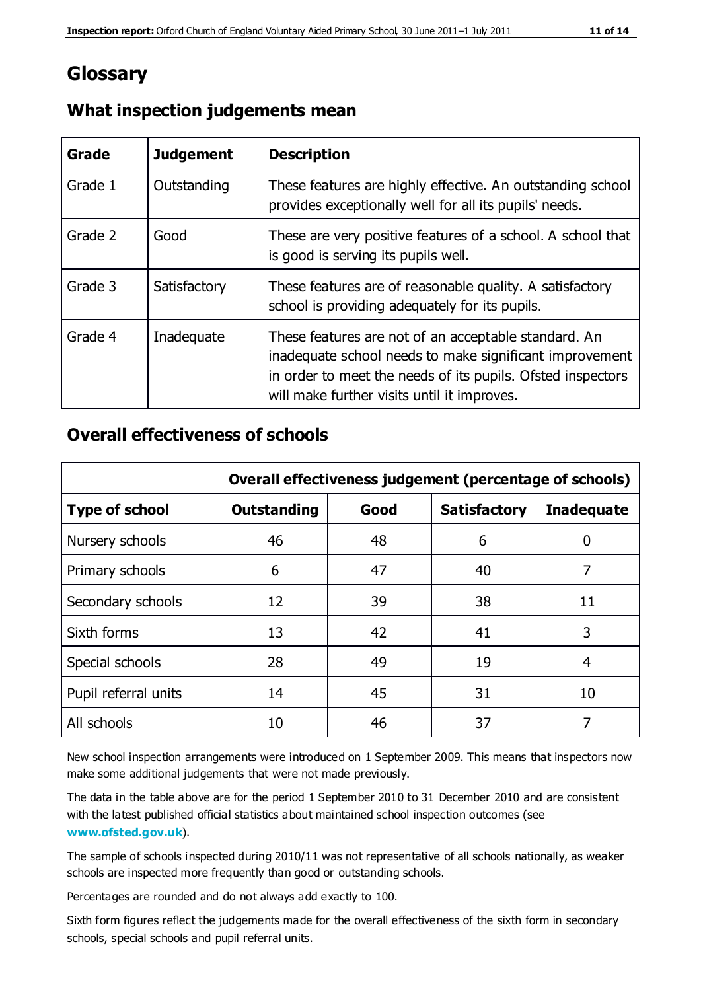## **Glossary**

| Grade   | <b>Judgement</b> | <b>Description</b>                                                                                                                                                                                                            |
|---------|------------------|-------------------------------------------------------------------------------------------------------------------------------------------------------------------------------------------------------------------------------|
| Grade 1 | Outstanding      | These features are highly effective. An outstanding school<br>provides exceptionally well for all its pupils' needs.                                                                                                          |
| Grade 2 | Good             | These are very positive features of a school. A school that<br>is good is serving its pupils well.                                                                                                                            |
| Grade 3 | Satisfactory     | These features are of reasonable quality. A satisfactory<br>school is providing adequately for its pupils.                                                                                                                    |
| Grade 4 | Inadequate       | These features are not of an acceptable standard. An<br>inadequate school needs to make significant improvement<br>in order to meet the needs of its pupils. Ofsted inspectors<br>will make further visits until it improves. |

#### **What inspection judgements mean**

#### **Overall effectiveness of schools**

|                       | Overall effectiveness judgement (percentage of schools) |      |                     |                   |
|-----------------------|---------------------------------------------------------|------|---------------------|-------------------|
| <b>Type of school</b> | <b>Outstanding</b>                                      | Good | <b>Satisfactory</b> | <b>Inadequate</b> |
| Nursery schools       | 46                                                      | 48   | 6                   |                   |
| Primary schools       | 6                                                       | 47   | 40                  | 7                 |
| Secondary schools     | 12                                                      | 39   | 38                  | 11                |
| Sixth forms           | 13                                                      | 42   | 41                  | 3                 |
| Special schools       | 28                                                      | 49   | 19                  | 4                 |
| Pupil referral units  | 14                                                      | 45   | 31                  | 10                |
| All schools           | 10                                                      | 46   | 37                  |                   |

New school inspection arrangements were introduced on 1 September 2009. This means that inspectors now make some additional judgements that were not made previously.

The data in the table above are for the period 1 September 2010 to 31 December 2010 and are consistent with the latest published official statistics about maintained school inspection outcomes (see **[www.ofsted.gov.uk](http://www.ofsted.gov.uk/)**).

The sample of schools inspected during 2010/11 was not representative of all schools nationally, as weaker schools are inspected more frequently than good or outstanding schools.

Percentages are rounded and do not always add exactly to 100.

Sixth form figures reflect the judgements made for the overall effectiveness of the sixth form in secondary schools, special schools and pupil referral units.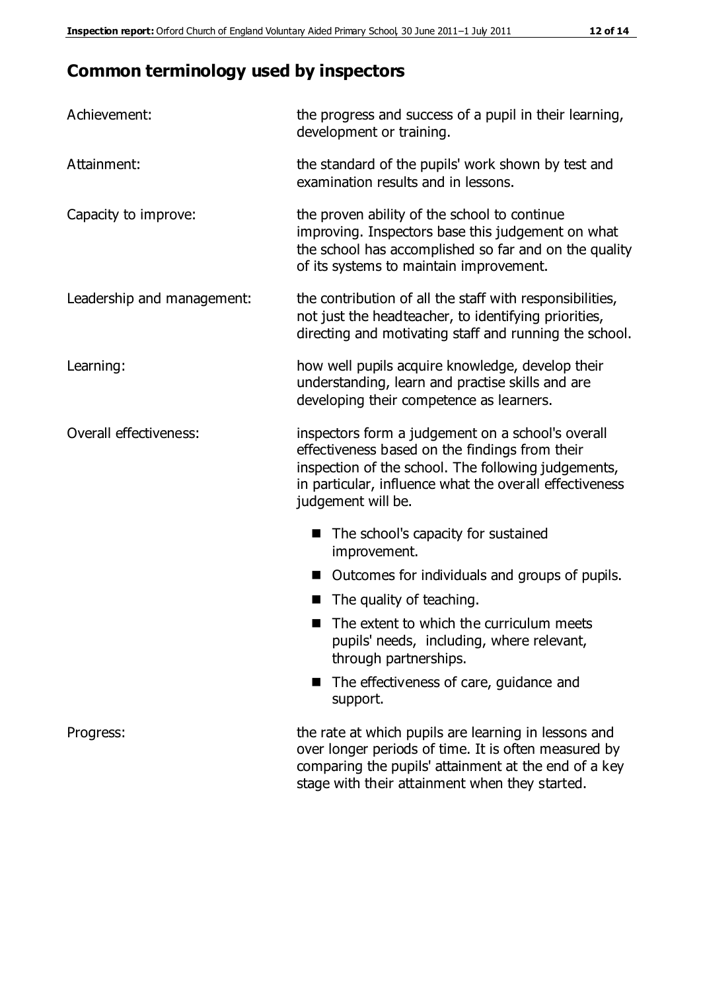# **Common terminology used by inspectors**

| Achievement:               | the progress and success of a pupil in their learning,<br>development or training.                                                                                                                                                          |
|----------------------------|---------------------------------------------------------------------------------------------------------------------------------------------------------------------------------------------------------------------------------------------|
| Attainment:                | the standard of the pupils' work shown by test and<br>examination results and in lessons.                                                                                                                                                   |
| Capacity to improve:       | the proven ability of the school to continue<br>improving. Inspectors base this judgement on what<br>the school has accomplished so far and on the quality<br>of its systems to maintain improvement.                                       |
| Leadership and management: | the contribution of all the staff with responsibilities,<br>not just the headteacher, to identifying priorities,<br>directing and motivating staff and running the school.                                                                  |
| Learning:                  | how well pupils acquire knowledge, develop their<br>understanding, learn and practise skills and are<br>developing their competence as learners.                                                                                            |
| Overall effectiveness:     | inspectors form a judgement on a school's overall<br>effectiveness based on the findings from their<br>inspection of the school. The following judgements,<br>in particular, influence what the overall effectiveness<br>judgement will be. |
|                            | The school's capacity for sustained<br>improvement.                                                                                                                                                                                         |
|                            | Outcomes for individuals and groups of pupils.                                                                                                                                                                                              |
|                            | The quality of teaching.                                                                                                                                                                                                                    |
|                            | The extent to which the curriculum meets<br>pupils' needs, including, where relevant,<br>through partnerships.                                                                                                                              |
|                            | The effectiveness of care, guidance and<br>support.                                                                                                                                                                                         |
| Progress:                  | the rate at which pupils are learning in lessons and<br>over longer periods of time. It is often measured by<br>comparing the pupils' attainment at the end of a key                                                                        |

stage with their attainment when they started.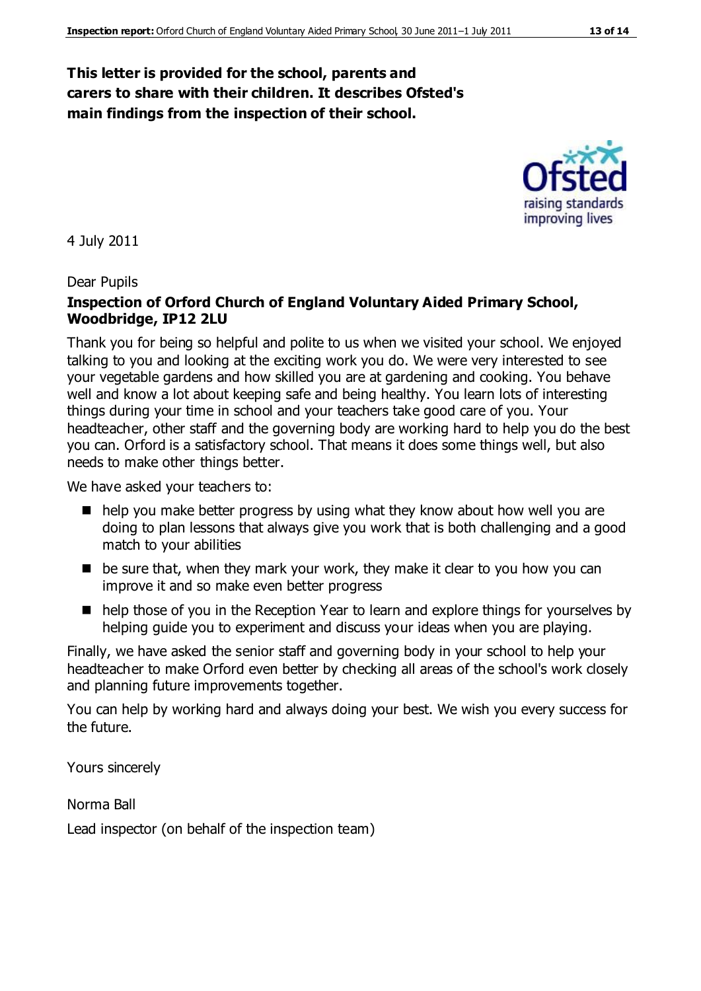#### **This letter is provided for the school, parents and carers to share with their children. It describes Ofsted's main findings from the inspection of their school.**

4 July 2011

#### Dear Pupils

#### **Inspection of Orford Church of England Voluntary Aided Primary School, Woodbridge, IP12 2LU**

Thank you for being so helpful and polite to us when we visited your school. We enjoyed talking to you and looking at the exciting work you do. We were very interested to see your vegetable gardens and how skilled you are at gardening and cooking. You behave well and know a lot about keeping safe and being healthy. You learn lots of interesting things during your time in school and your teachers take good care of you. Your headteacher, other staff and the governing body are working hard to help you do the best you can. Orford is a satisfactory school. That means it does some things well, but also needs to make other things better.

We have asked your teachers to:

- help you make better progress by using what they know about how well you are doing to plan lessons that always give you work that is both challenging and a good match to your abilities
- be sure that, when they mark your work, they make it clear to you how you can improve it and so make even better progress
- help those of you in the Reception Year to learn and explore things for yourselves by helping guide you to experiment and discuss your ideas when you are playing.

Finally, we have asked the senior staff and governing body in your school to help your headteacher to make Orford even better by checking all areas of the school's work closely and planning future improvements together.

You can help by working hard and always doing your best. We wish you every success for the future.

Yours sincerely

Norma Ball

Lead inspector (on behalf of the inspection team)